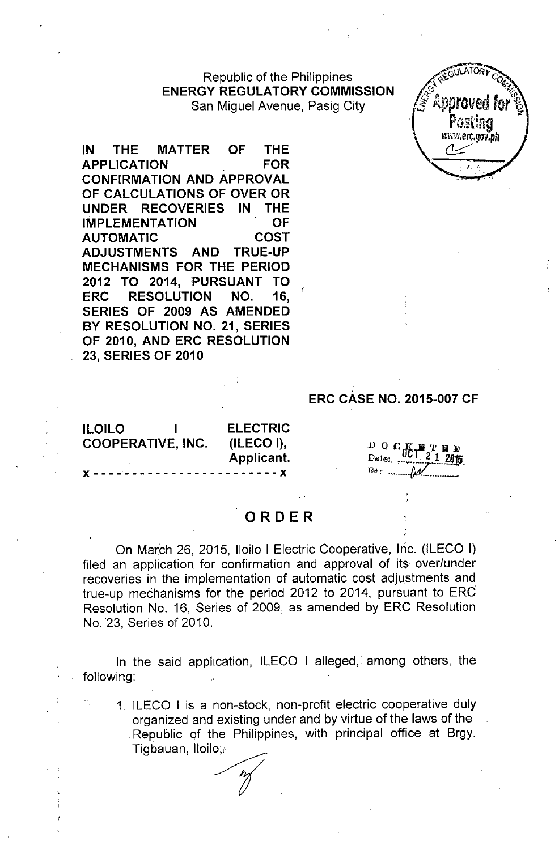Republic of the Philippines **ENERGY REGULATORY COMMISSION** San Miguel Avenue, Pasig City



**IN THE MATTER OF THE APPLICATION FOR CONFIRMATION AND APPROVAL OF CALCULATIONS OF OVER OR UNDER RECOVERIES IN THE IMPLEMENTATION OF AUTOMATIC COST ADJUSTMENTS AND TRUE-UP MECHANISMS FOR THE PERIOD 2012 TO 2014, PURSUANT TO ERC RESOLUTION NO. 16, SERIES OF 2009 AS AMENDED BY RESOLUTION NO. 21, SERIES OF 2010, AND ERC RESOLUTION 23, SERIES OF 2010**

## **ERC CASE NO. 2015-007 CF**

**ILOILO I COOPERATIVE, INC.**

J( - - - -- - - - - - - - - - - - - - - - - - - - J(

**ELECTRIC (ILECO I), Applicant.**

 $\begin{smallmatrix}0&0&\mathbf{G}\end{smallmatrix}$ 

## **ORDER**

On March 26, 2015, Iloilo I Electric Cooperative, Inc. (ILECO I) filed an application for confirmation and approval of its over/under recoveries in the implementation of automatic cost adjustments and true-up mechanisms for the period 2012 to 2014, pursuant to ERC Resolution No. 16, Series of 2009, as amended by ERC Resolution No. 23, Series of 2010.

In the said application, ILECO I alleged, among others, the following:

1. ILECO I is a non-stock, non-profit electric cooperative duly organized and existing under and by virtue of the laws of the Republic, of the Philippines, with principal office at Brgy. Tigbauan, 1I0il . existing u<br>
Philipp<br>
Ay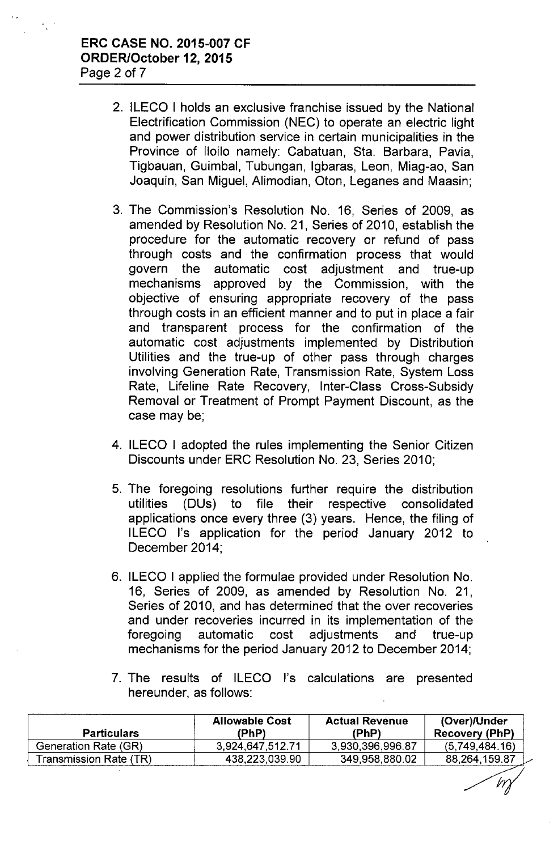- 2. ILECO I holds an exclusive franchise issued by the National Electrification Commission (NEC) to operate an electric light and power distribution service in certain municipalities in the Province of Iloilo namely: Cabatuan, Sta. Barbara, Pavia, Tigbauan, Guimbal, Tubungan, Igbaras, Leon, Miag-ao, San Joaquin, San Miguel, Alimodian, Oton, Leganes and Maasin;
- 3. The Commission's Resolution No. 16, Series of 2009, as amended by Resolution No. 21, Series of 2010, establish the procedure for the automatic recovery or refund of pass through costs and the confirmation process that would govern the automatic cost adjustment and true-up mechanisms approved by the Commission, with the objective of ensuring appropriate recovery of the pass through costs in an efficient manner and to put in place a fair and transparent process for the confirmation of the automatic cost adjustments implemented by Distribution Utilities and the true-up of other pass through charges involving Generation Rate, Transmission Rate, System Loss Rate, Lifeline Rate Recovery, Inter-Class Cross-Subsidy Removal or Treatment of Prompt Payment Discount, as the case may be;
- 4. ILECO I adopted the rules implementing the Senior Citizen Discounts under ERC Resolution No. 23, Series 2010;
- 5. The foregoing resolutions further require the distribution utilities (DUs) to file their respective consolidated applications once every three (3) years. Hence, the filing of ILECO I's application for the period January 2012 to December 2014;
- 6. ILECO I applied the formulae provided under Resolution No. 16, Series of 2009, as amended by Resolution No. 21, Series of 2010, and has determined that the over recoveries and under recoveries incurred in its implementation of the foregoing automatic cost adjustments and true-up mechanisms for the period January 2012 to December 2014;
- 7. The results of ILECO I's calculations are presented hereunder, as follows:

| <b>Particulars</b>     | <b>Allowable Cost</b><br>(PhP) | <b>Actual Revenue</b><br>(PhP) | (Over)/Under<br>Recovery (PhP) |
|------------------------|--------------------------------|--------------------------------|--------------------------------|
| Generation Rate (GR)   | 3.924,647,512.71               | 3.930.396.996.87               | (5.749.484.16)                 |
| Transmission Rate (TR) | 438,223,039.90                 | 349,958,880.02                 | 88.264,159.87                  |

M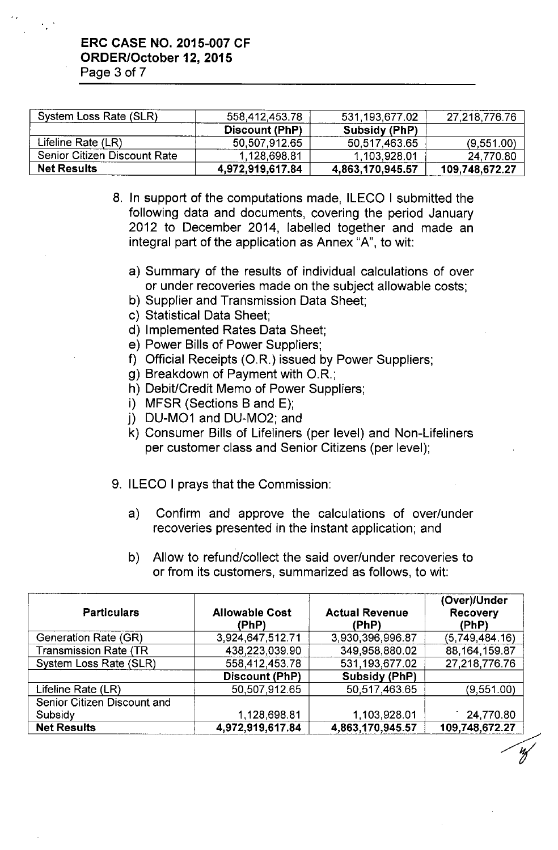..

| System Loss Rate (SLR)       | 558,412,453.78   | 531,193,677.02   | 27,218,776.76  |
|------------------------------|------------------|------------------|----------------|
|                              | Discount (PhP)   | Subsidy (PhP)    |                |
| Lifeline Rate (LR)           | 50,507,912.65    | 50,517,463.65    | (9,551.00)     |
| Senior Citizen Discount Rate | 1,128,698.81     | 1,103,928.01     | 24,770.80      |
| <b>Net Results</b>           | 4,972,919,617.84 | 4,863,170,945.57 | 109,748,672.27 |

- 8. In support of the computations made, ILECO I submitted the following data and documents, covering the period January 2012 to December 2014, labelled together and made an integral part of the application as Annex "A", to wit:
	- a) Summary of the results of individual calculations of over or under recoveries made on the subject allowable costs;
	- b) Supplier and Transmission Data Sheet;
	- c) Statistical Data Sheet;
	- d) Implemented Rates Data Sheet;
	- e) Power Bills of Power Suppliers;
	- f) Official Receipts (O.R.) issued by Power Suppliers;
	- g) Breakdown of Payment with *OR.;*
	- h) Debit/Credit Memo of Power Suppliers;
	- i) MFSR (Sections B and E);
	- j) DU-M01 and DU-M02; and
	- k) Consumer Bills of Lifeliners (per level) and Non-Lifeliners per customer class and Senior Citizens (per level);
- 9. ILECO I prays that the Commission:
	- a) Confirm and approve the calculations of over/under recoveries presented in the instant application; and
	- b) Allow to refund/collect the said over/under recoveries to or from its customers, summarized as follows, to wit:

| <b>Particulars</b>           | <b>Allowable Cost</b><br>(PhP) | <b>Actual Revenue</b><br>(PhP) | (Over)/Under<br><b>Recovery</b><br>(PhP) |
|------------------------------|--------------------------------|--------------------------------|------------------------------------------|
| Generation Rate (GR)         | 3,924,647,512.71               | 3,930,396,996.87               | (5,749,484,16)                           |
| <b>Transmission Rate (TR</b> | 438,223,039.90                 | 349,958,880.02                 | 88, 164, 159.87                          |
| System Loss Rate (SLR)       | 558,412,453.78                 | 531,193,677.02                 | 27,218,776.76                            |
|                              | Discount (PhP)                 | <b>Subsidy (PhP)</b>           |                                          |
| Lifeline Rate (LR)           | 50,507,912.65                  | 50,517,463.65                  | (9,551.00)                               |
| Senior Citizen Discount and  |                                |                                |                                          |
| Subsidy                      | 1,128,698.81                   | 1,103,928.01                   | 24,770.80                                |
| <b>Net Results</b>           | 4,972,919,617.84               | 4,863,170,945.57               | 109,748,672.27                           |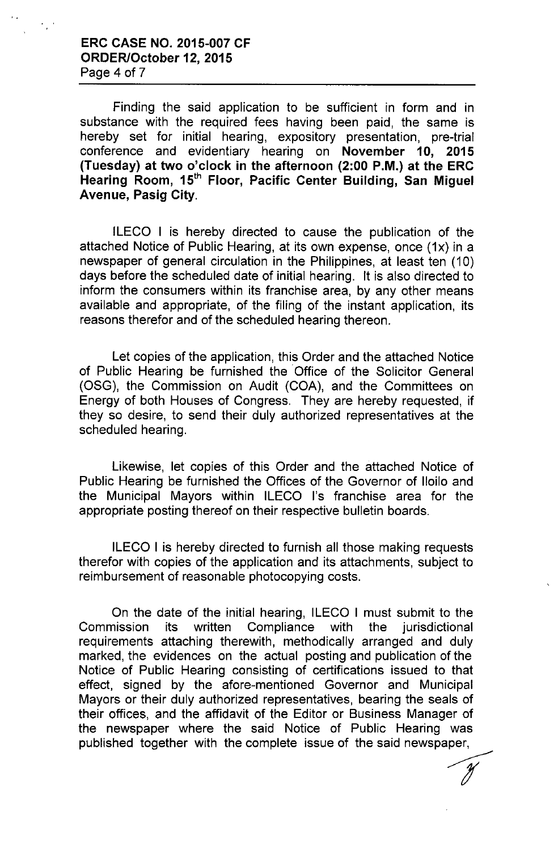### ERC CASE NO. 2015-007 CF ORDER/October 12, 2015 Page 4 of 7

Finding the said application to be sufficient in form and in substance with the required fees having been paid, the same is hereby set for initial hearing, expository presentation, pre-trial conference and evidentiary hearing on November 10, 2015 (Tuesday) at two o'clock in the afternoon (2:00 P.M.) at the ERC Hearing Room, 15<sup>th</sup> Floor, Pacific Center Building, San Miguel Avenue, Pasig City.

ILECO I is hereby directed to cause the publication of the attached Notice of Public Hearing, at its own expense, once (1x) in a newspaper of general circulation in the Philippines, at least ten (10) days before the scheduled date of initial hearing. It is also directed to inform the consumers within its franchise area, by any other means available and appropriate, of the filing of the instant application, its reasons therefor and of the scheduled hearing thereon.

Let copies of the application, this Order and the attached Notice of Public Hearing be furnished the Office of the Solicitor General (OSG), the Commission on Audit (COA), and the Committees on Energy of both Houses of Congress. They are hereby requested, if they so desire, to send their duly authorized representatives at the scheduled hearing.

Likewise, let copies of this Order and the attached Notice of Public Hearing be furnished the Offices of the Governor of Iloilo and the Municipal Mayors within ILECO I's franchise area for the appropriate posting thereof on their respective bulletin boards.

ILECO I is hereby directed to furnish all those making requests therefor with copies of the application and its attachments, subject to reimbursement of reasonable photocopying costs.

On the date of the initial hearing, ILECO I must submit to the Commission its written Compliance with the jurisdictional requirements attaching therewith, methodically arranged and duly marked, the evidences on the actual posting and publication of the Notice of Public Hearing consisting of certifications issued to that effect, signed by the afore-mentioned Governor and Municipal Mayors or their duly authorized representatives, bearing the seals of their offices, and the affidavit of the Editor or Business Manager of the newspaper where the said Notice of Public Hearing was published together with the complete issue of the said newspaper, er of<br>was<br>per,<br>*J*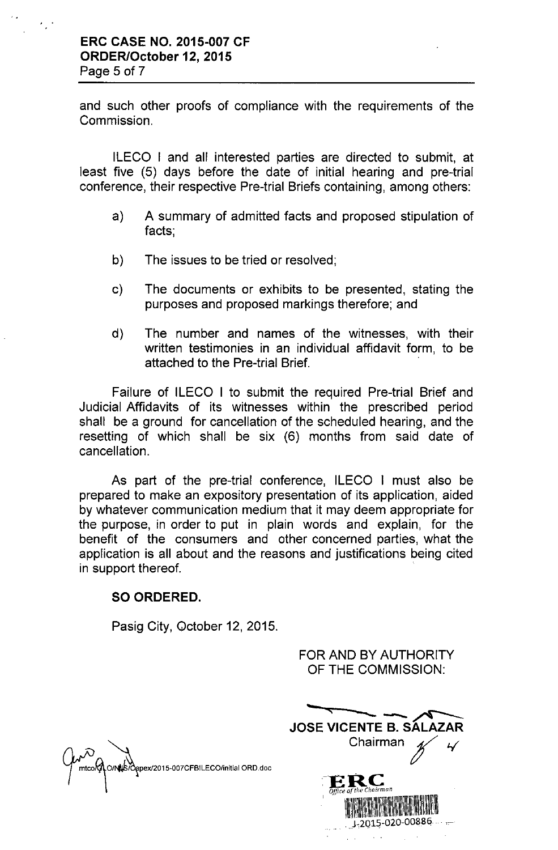and such other proofs of compliance with the requirements of the **Commission** 

ILECO I and all interested parties are directed to submit, at least five (5) days before the date of initial hearing and pre-trial conference, their respective Pre-trial Briefs containing, among others:

- a) A summary of admitted facts and proposed stipulation of facts;
- b) The issues to be tried or resolved;
- c) The documents or exhibits to be presented, stating the purposes and proposed markings therefore; and
- d) The number and names of the witnesses, with their written testimonies in an individual affidavit form, to be attached to the Pre-trial Brief.

Failure of ILECO I to submit the required Pre-trial Brief and Judicial Affidavits of its witnesses within the prescribed period shall be a ground for cancellation of the scheduled hearing, and the resetting of which shall be six (6) months from said date of cancellation.

As part of the pre-trial conference, ILECO I must also be prepared to make an expository presentation of its application, aided by whatever communication medium that it may deem appropriate for the purpose, in order to put in plain words and explain, for the benefit of the consumers and other concerned parties, what the application is all about and the reasons and justifications being cited in support thereof.

#### SO ORDERED.

Pasig City, October 12, 2015.

S/Oapex/2015-007CFBILECO/initial ORD.doc

FOR AND BY AUTHORITY OF THE COMMISSION:

| LIE AAMINIDOIAT                                                    |  |
|--------------------------------------------------------------------|--|
| JOSE VICENTE B. SÁLAZAR<br>Chairman                                |  |
| <b>BERCE</b><br>Office of the Chairman<br>$J - 2015 - 020 - 00886$ |  |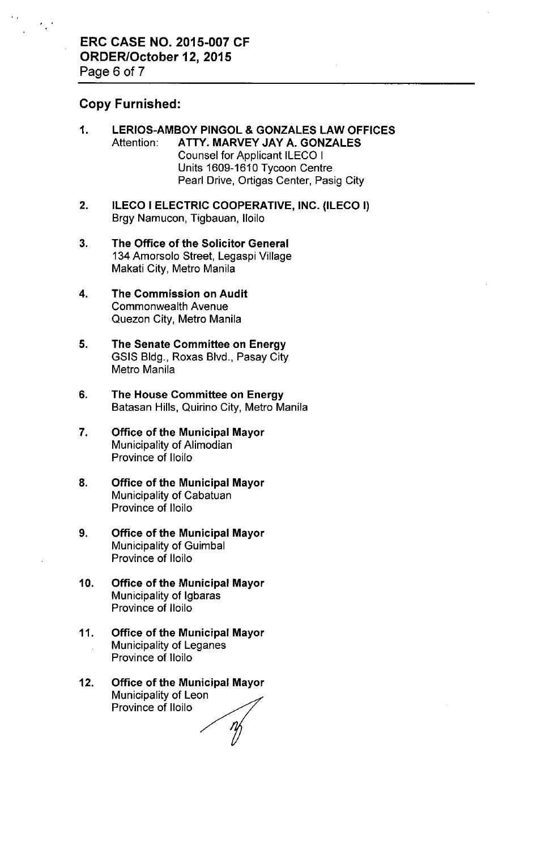#### Copy Furnished:

- 1. LERIOS-AMBOY PINGOL & GONZALES LAW OFFICES Attention: ATTY. MARVEY JAY A. GONZALES Counsel for Applicant ILECO I Units 1609-1610 Tycoon Centre Pearl Drive, Ortigas Center, Pasig City
- 2. ILECO I ELECTRIC COOPERATIVE, INC. (ILECO I) Brgy Namucon, Tigbauan, Iloilo
- 3. The Office of the Solicitor General 134 Amorsolo Street, Legaspi Village Makati City, Metro Manila
- 4. The Commission on Audit Commonwealth Avenue Quezon City, Metro Manila
- 5. The Senate Committee on Energy GSIS Bldg., Roxas Blvd., Pasay City Metro Manila
- 6. The House Committee on Energy Batasan Hills, Quirino City, Metro Manila
- 7. Office of the Municipal Mayor Municipality of Alimodian Province of Iloilo
- 8. Office of the Municipal Mayor Municipality of Cabatuan Province of Iloilo
- 9. Office of the Municipal Mayor Municipality of Guimbal Province of Iloilo
- 10. Office of the Municipal Mayor Municipality of Igbaras Province of Iloilo
- 11. Office of the Municipal Mayor Municipality of Leganes Province of Iloilo
- 12. Office of the Municipal Mayor Municipality of Leon Province of Iloilo